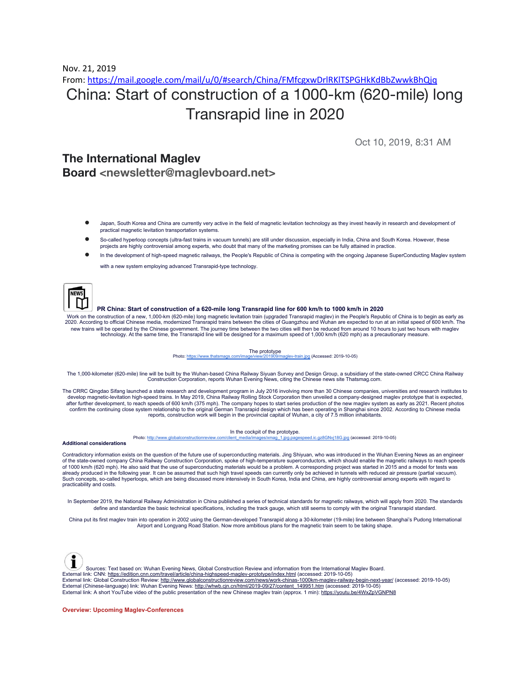Nov. 21, 2019

## From: <https://mail.google.com/mail/u/0/#search/China/FMfcgxwDrlRKlTSPGHkKdBbZwwkBhQjq> China: Start of construction of a 1000-km (620-mile) long Transrapid line in 2020

Oct 10, 2019, 8:31 AM

## **The International Maglev Board <newsletter@maglevboard.net>**

- Japan, South Korea and China are currently very active in the field of magnetic levitation technology as they invest heavily in research and development of practical magnetic levitation transportation systems.
- So-called hyperloop concepts (ultra-fast trains in vacuum tunnels) are still under discussion, especially in India, China and South Korea. However, these projects are highly controversial among experts, who doubt that many of the marketing promises can be fully attained in practice
- In the development of high-speed magnetic railways, the People's Republic of China is competing with the ongoing Japanese SuperConducting Maglev system with a new system employing advanced Transrapid-type technology.

## PR China: Start of construction of a 620-mile long Transrapid line for 600 km/h to 1000 km/h in 2020

Work on the construction of a new, 1,000-km (620-mile) long magnetic levitation train (upgraded Transrapid maglev) in the People's Republic of China is to begin as early as 2020. According to official Chinese media, modernized Transrapid trains between the cities of Guangzhou and Wuhan are expected to run at an initial speed of 600 km/h. The new trains will be operated by the Chinese government. The journey time between the two cities will then be reduced from around 10 hours to just two hours with maglev technology. At the same time, the Transrapid line will be designed for a maximum speed of 1,000 km/h (620 mph) as a precautionary measure.

> The prototype Photo: <https://www.thatsmags.com/image/view/201909/maglev-train.jpg> (Accessed: 2019-10-05)

The 1,000-kilometer (620-mile) line will be built by the Wuhan-based China Railway Siyuan Survey and Design Group, a subsidiary of the state-owned CRCC China Railway Construction Corporation, reports Wuhan Evening News, citing the Chinese news site Thatsmag.com.

The CRRC Qingdao Sifang launched a state research and development program in July 2016 involving more than 30 Chinese companies, universities and research institutes to develop magnetic-levitation high-speed trains. In May 2019, China Railway Rolling Stock Corporation then unveiled a company-designed maglev prototype that is expected,<br>after further development, to reach speeds of 600 km/h reports, construction work will begin in the provincial capital of Wuhan, a city of 7.5 million inhabitants.

In the cockpit of the prototype.

Photo: [http://www.globalconstructionreview.com/client\\_media/images/xmag\\_1.jpg.pagespeed.ic.gz8GNvj18G.jpg](http://www.globalconstructionreview.com/client_media/images/xmag_1.jpg.pagespeed.ic.gz8GNvj18G.jpg) (accessed: 2019-10-05)

**Additional considerations**

Contradictory information exists on the question of the future use of superconducting materials. Jing Shiyuan, who was introduced in the Wuhan Evening News as an engineer of the state-owned company China Railway Construction Corporation, spoke of high-temperature superconductors, which should enable the magnetic railways to reach speeds of 1000 km/h (620 mph). He also said that the use of superconducting materials would be a problem. A corresponding project was started in 2015 and a model for tests was<br>already produced in the following year. It can be ass Such concepts, so-called hyperloops, which are being discussed more intensively in South Korea, India and China, are highly controversial among experts with regard to practicability and costs.

In September 2019, the National Railway Administration in China published a series of technical standards for magnetic railways, which will apply from 2020. The standards define and standardize the basic technical specifications, including the track gauge, which still seems to comply with the original Transrapid standard.

China put its first maglev train into operation in 2002 using the German-developed Transrapid along a 30-kilometer (19-mile) line between Shanghai's Pudong International Airport and Longyang Road Station. Now more ambitious plans for the magnetic train seem to be taking shape.



Sources: Text based on: Wuhan Evening News, Global Construction Review and information from the International Maglev Board.

External link: CNN: [https://edition.cnn.com/travel/article/china-highspeed-maglev-prototype/index.html](https://www.maglevboard.net/index.php?option=com_acymailing&ctrl=url&subid=8939&urlid=568&mailid=117) (accessed: 2019-10-05)

External link: Global Construction Review: [http://www.globalconstructionreview.com/news/work-chinas-1000km-maglev-railway-begin-next-year/](https://www.maglevboard.net/index.php?option=com_acymailing&ctrl=url&subid=8939&urlid=574&mailid=117) (accessed: 2019-10-05) External (Chinese-language) link: Wuhan Evening News: [http://whwb.cjn.cn/html/2019-09/27/content\\_149951.htm](https://www.maglevboard.net/index.php?option=com_acymailing&ctrl=url&subid=8939&urlid=575&mailid=117) (accessed: 2019-10-05)

External link: A short YouTube video of the public presentation of the new Chinese maglev train (approx. 1 min): [https://youtu.be/4WxZpVGNPN8](https://www.maglevboard.net/index.php?option=com_acymailing&ctrl=url&subid=8939&urlid=567&mailid=117)

**Overview: Upcoming Maglev-Conferences**